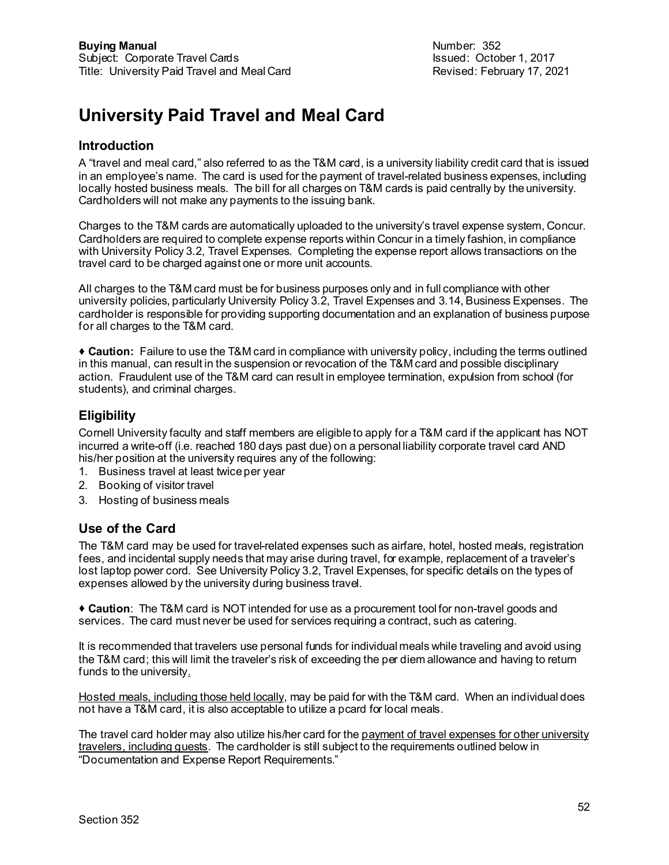# **University Paid Travel and Meal Card**

#### **Introduction**

A "travel and meal card," also referred to as the T&M card, is a university liability credit card that is issued in an employee's name. The card is used for the payment of travel-related business expenses, including locally hosted business meals. The bill for all charges on T&M cards is paid centrally by the university. Cardholders will not make any payments to the issuing bank.

Charges to the T&M cards are automatically uploaded to the university's travel expense system, Concur. Cardholders are required to complete expense reports within Concur in a timely fashion, in compliance with University Policy 3.2, Travel Expenses. Completing the expense report allows transactions on the travel card to be charged against one or more unit accounts.

All charges to the T&M card must be for business purposes only and in full compliance with other university policies, particularly University Policy 3.2, Travel Expenses and 3.14, Business Expenses. The cardholder is responsible for providing supporting documentation and an explanation of business purpose for all charges to the T&M card.

 **Caution:** Failure to use the T&M card in compliance with university policy, including the terms outlined in this manual, can result in the suspension or revocation of the T&M card and possible disciplinary action. Fraudulent use of the T&M card can result in employee termination, expulsion from school (for students), and criminal charges.

#### **Eligibility**

Cornell University faculty and staff members are eligible to apply for a T&M card if the applicant has NOT incurred a write-off (i.e. reached 180 days past due) on a personal liability corporate travel card AND his/her position at the university requires any of the following:

- 1. Business travel at least twice per year
- 2. Booking of visitor travel
- 3. Hosting of business meals

## **Use of the Card**

The T&M card may be used for travel-related expenses such as airfare, hotel, hosted meals, registration fees, and incidental supply needs that may arise during travel, for example, replacement of a traveler's lost laptop power cord. See University Policy 3.2, Travel Expenses, for specific details on the types of expenses allowed by the university during business travel.

 **Caution**: The T&M card is NOT intended for use as a procurement tool for non-travel goods and services. The card must never be used for services requiring a contract, such as catering.

It is recommended that travelers use personal funds for individual meals while traveling and avoid using the T&M card; this will limit the traveler's risk of exceeding the per diem allowance and having to return funds to the university.

Hosted meals, including those held locally, may be paid for with the T&M card. When an individual does not have a T&M card, it is also acceptable to utilize a pcard for local meals.

The travel card holder may also utilize his/her card for the payment of travel expenses for other university travelers, including guests. The cardholder is still subject to the requirements outlined below in "Documentation and Expense Report Requirements."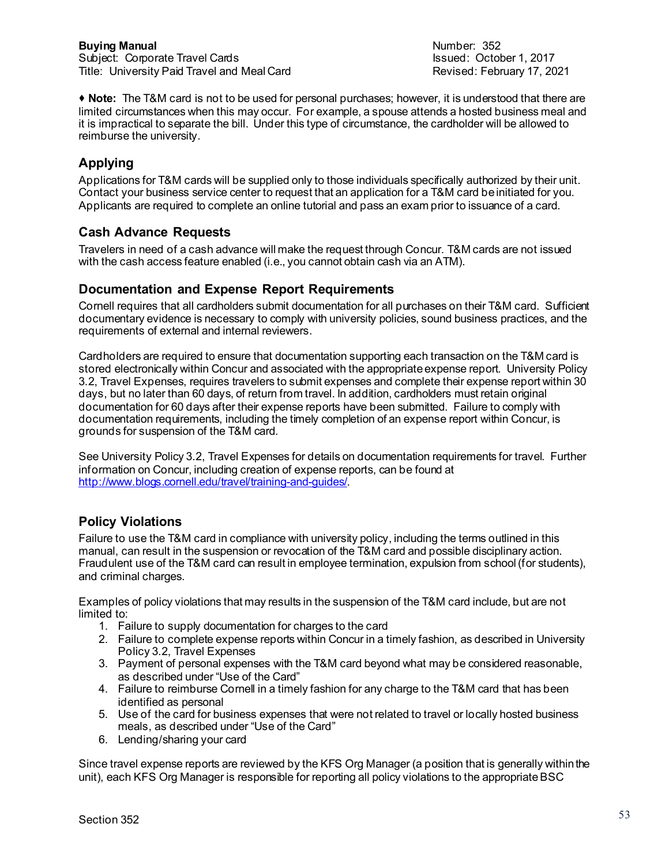**Note:** The T&M card is not to be used for personal purchases; however, it is understood that there are limited circumstances when this may occur. For example, a spouse attends a hosted business meal and it is impractical to separate the bill. Under this type of circumstance, the cardholder will be allowed to reimburse the university.

## **Applying**

Applications for T&M cards will be supplied only to those individuals specifically authorized by their unit. Contact your business service center to request that an application for a T&M card be initiated for you. Applicants are required to complete an online tutorial and pass an exam prior to issuance of a card.

## **Cash Advance Requests**

Travelers in need of a cash advance will make the request through Concur. T&M cards are not issued with the cash access feature enabled (i.e., you cannot obtain cash via an ATM).

#### **Documentation and Expense Report Requirements**

Cornell requires that all cardholders submit documentation for all purchases on their T&M card. Sufficient documentary evidence is necessary to comply with university policies, sound business practices, and the requirements of external and internal reviewers.

Cardholders are required to ensure that documentation supporting each transaction on the T&M card is stored electronically within Concur and associated with the appropriate expense report. University Policy 3.2, Travel Expenses, requires travelers to submit expenses and complete their expense report within 30 days, but no later than 60 days, of return from travel. In addition, cardholders must retain original documentation for 60 days after their expense reports have been submitted. Failure to comply with documentation requirements, including the timely completion of an expense report within Concur, is grounds for suspension of the T&M card.

See University Policy 3.2, Travel Expenses for details on documentation requirements for travel. Further information on Concur, including creation of expense reports, can be found at [http://www.blogs.cornell.edu/travel/training-and-guides/.](http://www.blogs.cornell.edu/travel/training-and-guides/)

## **Policy Violations**

Failure to use the T&M card in compliance with university policy, including the terms outlined in this manual, can result in the suspension or revocation of the T&M card and possible disciplinary action. Fraudulent use of the T&M card can result in employee termination, expulsion from school (for students), and criminal charges.

Examples of policy violations that may results in the suspension of the T&M card include, but are not limited to:

- 1. Failure to supply documentation for charges to the card
- 2. Failure to complete expense reports within Concur in a timely fashion, as described in University Policy 3.2, Travel Expenses
- 3. Payment of personal expenses with the T&M card beyond what may be considered reasonable, as described under "Use of the Card"
- 4. Failure to reimburse Cornell in a timely fashion for any charge to the T&M card that has been identified as personal
- 5. Use of the card for business expenses that were not related to travel or locally hosted business meals, as described under "Use of the Card"
- 6. Lending/sharing your card

Since travel expense reports are reviewed by the KFS Org Manager (a position that is generally within the unit), each KFS Org Manager is responsible for reporting all policy violations to the appropriate BSC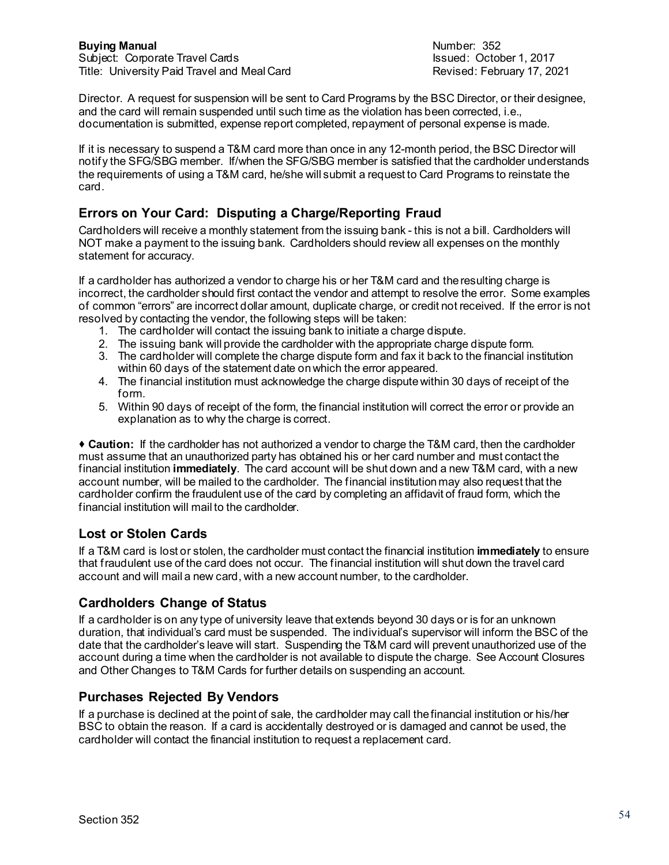Director. A request for suspension will be sent to Card Programs by the BSC Director, or their designee, and the card will remain suspended until such time as the violation has been corrected, i.e., documentation is submitted, expense report completed, repayment of personal expense is made.

If it is necessary to suspend a T&M card more than once in any 12-month period, the BSC Director will notify the SFG/SBG member. If/when the SFG/SBG member is satisfied that the cardholder understands the requirements of using a T&M card, he/she will submit a request to Card Programs to reinstate the card.

## **Errors on Your Card: Disputing a Charge/Reporting Fraud**

Cardholders will receive a monthly statement from the issuing bank - this is not a bill. Cardholders will NOT make a payment to the issuing bank. Cardholders should review all expenses on the monthly statement for accuracy.

If a cardholder has authorized a vendor to charge his or her T&M card and the resulting charge is incorrect, the cardholder should first contact the vendor and attempt to resolve the error. Some examples of common "errors" are incorrect dollar amount, duplicate charge, or credit not received. If the error is not resolved by contacting the vendor, the following steps will be taken:

- 1. The cardholder will contact the issuing bank to initiate a charge dispute.
- 2. The issuing bank will provide the cardholder with the appropriate charge dispute form.
- 3. The cardholder will complete the charge dispute form and fax it back to the financial institution within 60 days of the statement date on which the error appeared.
- 4. The financial institution must acknowledge the charge dispute within 30 days of receipt of the form.
- 5. Within 90 days of receipt of the form, the financial institution will correct the error or provide an explanation as to why the charge is correct.

 **Caution:** If the cardholder has not authorized a vendor to charge the T&M card, then the cardholder must assume that an unauthorized party has obtained his or her card number and must contact the financial institution **immediately**. The card account will be shut down and a new T&M card, with a new account number, will be mailed to the cardholder. The financial institution may also request that the cardholder confirm the fraudulent use of the card by completing an affidavit of fraud form, which the financial institution will mail to the cardholder.

# **Lost or Stolen Cards**

If a T&M card is lost or stolen, the cardholder must contact the financial institution **immediately** to ensure that fraudulent use of the card does not occur. The financial institution will shut down the travel card account and will mail a new card, with a new account number, to the cardholder.

# **Cardholders Change of Status**

If a cardholder is on any type of university leave that extends beyond 30 days or is for an unknown duration, that individual's card must be suspended. The individual's supervisor will inform the BSC of the date that the cardholder's leave will start. Suspending the T&M card will prevent unauthorized use of the account during a time when the cardholder is not available to dispute the charge. See Account Closures and Other Changes to T&M Cards for further details on suspending an account.

## **Purchases Rejected By Vendors**

If a purchase is declined at the point of sale, the cardholder may call the financial institution or his/her BSC to obtain the reason. If a card is accidentally destroyed or is damaged and cannot be used, the cardholder will contact the financial institution to request a replacement card.